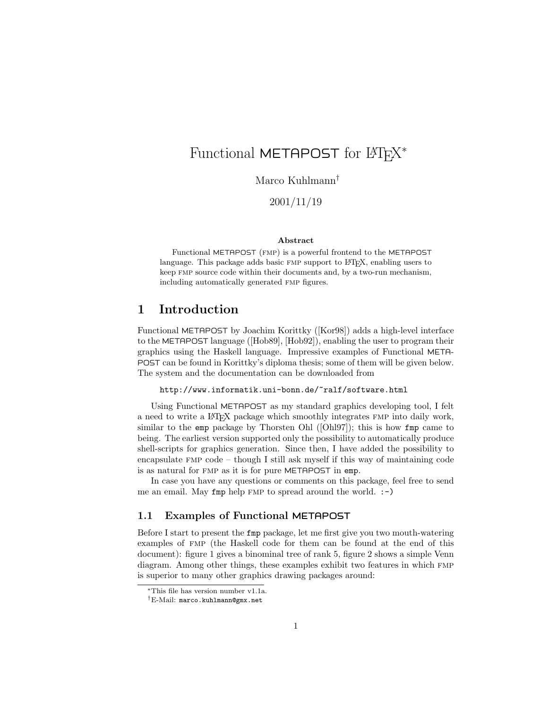# Functional METAPOST for L<sup>AT</sup>EX<sup>\*</sup>

Marco Kuhlmann†

2001/11/19

#### Abstract

Functional METAPOST (fmp) is a powerful frontend to the METAPOST language. This package adds basic FMP support to LAT<sub>EX</sub>, enabling users to keep fmp source code within their documents and, by a two-run mechanism, including automatically generated fmp figures.

## 1 Introduction

Functional METAPOST by Joachim Korittky ([Kor98]) adds a high-level interface to the METAPOST language ([Hob89], [Hob92]), enabling the user to program their graphics using the Haskell language. Impressive examples of Functional META-POST can be found in Korittky's diploma thesis; some of them will be given below. The system and the documentation can be downloaded from

http://www.informatik.uni-bonn.de/~ralf/software.html

Using Functional METAPOST as my standard graphics developing tool, I felt a need to write a LATEX package which smoothly integrates fmp into daily work, similar to the emp package by Thorsten Ohl ([Ohl97]); this is how fmp came to being. The earliest version supported only the possibility to automatically produce shell-scripts for graphics generation. Since then, I have added the possibility to encapsulate  $FMP code - though I still ask myself if this way of maintaining code$ is as natural for fmp as it is for pure METAPOST in emp.

In case you have any questions or comments on this package, feel free to send me an email. May fmp help FMP to spread around the world. :-)

#### 1.1 Examples of Functional METAPOST

Before I start to present the fmp package, let me first give you two mouth-watering examples of fmp (the Haskell code for them can be found at the end of this document): figure 1 gives a binominal tree of rank 5, figure 2 shows a simple Venn diagram. Among other things, these examples exhibit two features in which FMP is superior to many other graphics drawing packages around:

<sup>∗</sup>This file has version number v1.1a.

<sup>†</sup>E-Mail: marco.kuhlmann@gmx.net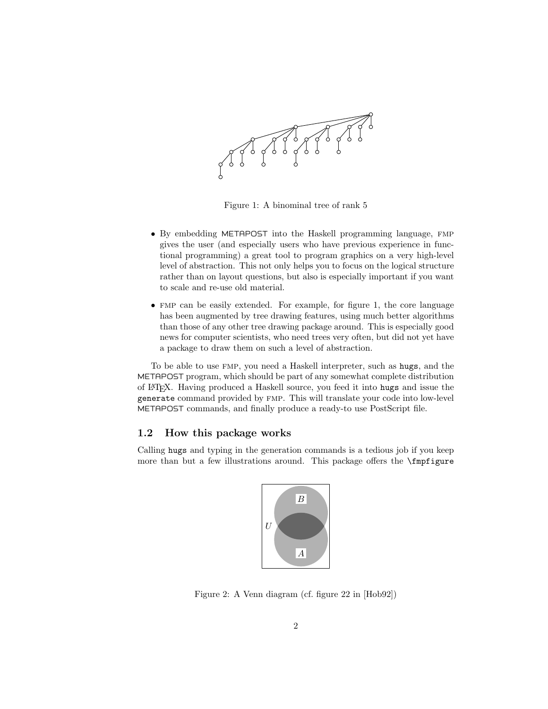

Figure 1: A binominal tree of rank 5

- By embedding METAPOST into the Haskell programming language, FMP gives the user (and especially users who have previous experience in functional programming) a great tool to program graphics on a very high-level level of abstraction. This not only helps you to focus on the logical structure rather than on layout questions, but also is especially important if you want to scale and re-use old material.
- fmp can be easily extended. For example, for figure 1, the core language has been augmented by tree drawing features, using much better algorithms than those of any other tree drawing package around. This is especially good news for computer scientists, who need trees very often, but did not yet have a package to draw them on such a level of abstraction.

To be able to use fmp, you need a Haskell interpreter, such as hugs, and the METAPOST program, which should be part of any somewhat complete distribution of LATEX. Having produced a Haskell source, you feed it into hugs and issue the generate command provided by fmp. This will translate your code into low-level METAPOST commands, and finally produce a ready-to use PostScript file.

#### 1.2 How this package works

Calling hugs and typing in the generation commands is a tedious job if you keep more than but a few illustrations around. This package offers the \fmpfigure



Figure 2: A Venn diagram (cf. figure 22 in [Hob92])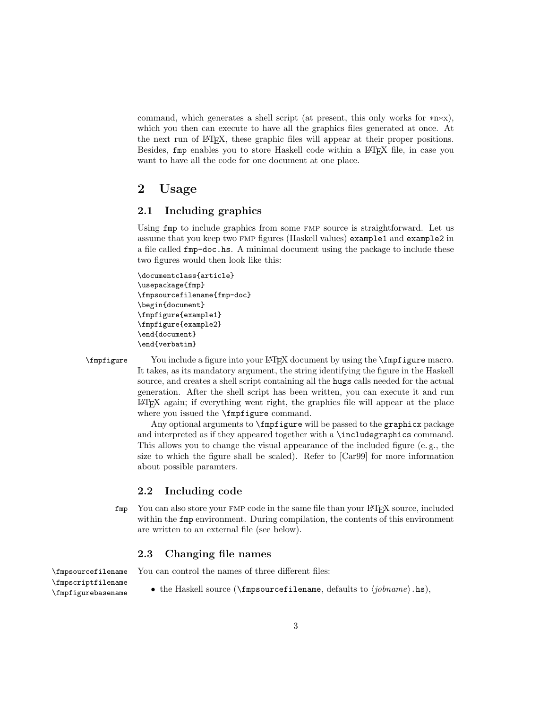command, which generates a shell script (at present, this only works for ∗n∗x), which you then can execute to have all the graphics files generated at once. At the next run of LATEX, these graphic files will appear at their proper positions. Besides, fmp enables you to store Haskell code within a LAT<sub>EX</sub> file, in case you want to have all the code for one document at one place.

### 2 Usage

#### 2.1 Including graphics

Using fmp to include graphics from some FMP source is straightforward. Let us assume that you keep two fmp figures (Haskell values) example1 and example2 in a file called fmp-doc.hs. A minimal document using the package to include these two figures would then look like this:

```
\documentclass{article}
\usepackage{fmp}
\fmpsourcefilename{fmp-doc}
\begin{document}
\fmpfigure{example1}
\fmpfigure{example2}
\end{document}
\end{verbatim}
```
\fmpfigure You include a figure into your LATEX document by using the \fmpfigure macro. It takes, as its mandatory argument, the string identifying the figure in the Haskell source, and creates a shell script containing all the hugs calls needed for the actual generation. After the shell script has been written, you can execute it and run LATEX again; if everything went right, the graphics file will appear at the place where you issued the **\fmpfigure** command.

> Any optional arguments to **\fmpfigure** will be passed to the graphicx package and interpreted as if they appeared together with a \includegraphics command. This allows you to change the visual appearance of the included figure (e. g., the size to which the figure shall be scaled). Refer to [Car99] for more information about possible paramters.

#### 2.2 Including code

fmp You can also store your fmp code in the same file than your LATEX source, included within the **fmp** environment. During compilation, the contents of this environment are written to an external file (see below).

#### 2.3 Changing file names

\fmpscriptfilename

- \fmpsourcefilename You can control the names of three different files:
- $\langle \text{Im}\rho \rangle$  the Haskell source ( $\langle \text{Im}\rho \rangle$  defaults to  $\langle \text{ion} \rangle$ .hs),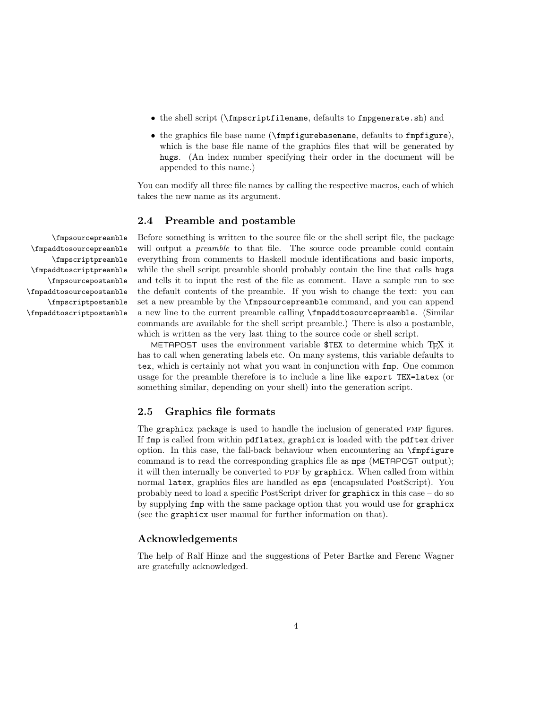- the shell script (\fmpscriptfilename, defaults to fmpgenerate.sh) and
- the graphics file base name (\fmpfigurebasename, defaults to fmpfigure), which is the base file name of the graphics files that will be generated by hugs. (An index number specifying their order in the document will be appended to this name.)

You can modify all three file names by calling the respective macros, each of which takes the new name as its argument.

#### 2.4 Preamble and postamble

\fmpsourcepreamble Before something is written to the source file or the shell script file, the package will output a *preamble* to that file. The source code preamble could contain everything from comments to Haskell module identifications and basic imports, while the shell script preamble should probably contain the line that calls hugs and tells it to input the rest of the file as comment. Have a sample run to see the default contents of the preamble. If you wish to change the text: you can set a new preamble by the \fmpsourcepreamble command, and you can append a new line to the current preamble calling \fmpaddtosourcepreamble. (Similar commands are available for the shell script preamble.) There is also a postamble, which is written as the very last thing to the source code or shell script.

> METAPOST uses the environment variable  $TEX$  to determine which T<sub>EX</sub> it has to call when generating labels etc. On many systems, this variable defaults to tex, which is certainly not what you want in conjunction with fmp. One common usage for the preamble therefore is to include a line like export TEX=latex (or something similar, depending on your shell) into the generation script.

#### 2.5 Graphics file formats

The graphicx package is used to handle the inclusion of generated fmp figures. If fmp is called from within pdflatex, graphicx is loaded with the pdftex driver option. In this case, the fall-back behaviour when encountering an  $\mathcal{F}_{\text{m}}$ command is to read the corresponding graphics file as mps (METAPOST output); it will then internally be converted to PDF by graphicx. When called from within normal latex, graphics files are handled as eps (encapsulated PostScript). You probably need to load a specific PostScript driver for graphicx in this case – do so by supplying fmp with the same package option that you would use for graphicx (see the graphicx user manual for further information on that).

#### Acknowledgements

The help of Ralf Hinze and the suggestions of Peter Bartke and Ferenc Wagner are gratefully acknowledged.

\fmpaddtosourcepreamble \fmpscriptpreamble \fmpaddtoscriptpreamble \fmpsourcepostamble \fmpaddtosourcepostamble \fmpscriptpostamble \fmpaddtoscriptpostamble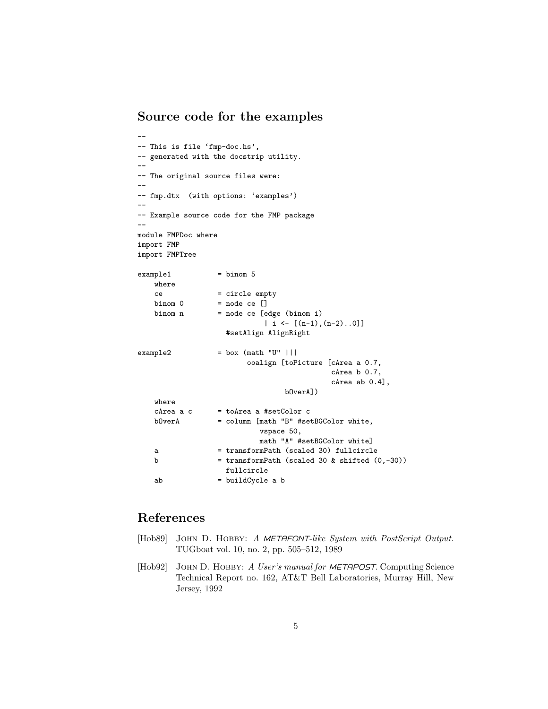## Source code for the examples

```
--
-- This is file 'fmp-doc.hs',
-- generated with the docstrip utility.
--
-- The original source files were:
--
-- fmp.dtx (with options: 'examples')
--
-- Example source code for the FMP package
--
module FMPDoc where
import FMP
import FMPTree
example1 = binom 5
   where
   ce = circle empty
   binom 0 = node \text{ ce } []binom n = node \text{ c} \text{ edge } \text{(binom i)}| i <- [(n-1), (n-2) \ldots 0]]
                    #setAlign AlignRight
\text{example2} = box (math "U" |||
                        ooalign [toPicture [cArea a 0.7,
                                           cArea b 0.7,
                                            cArea ab 0.4],
                                 bOverA])
   where
   chrea a c = toArea a #setColor cbOverA = column [math "B" #setBGColor white,
                           vspace 50,
                           math "A" #setBGColor white]
   a = transformPath (scaled 30) fullcircle
   b = transformPath (scaled 30 \& shifted (0, -30))
                   fullcircle
   ab = buildCycle a b
```
## References

- [Hob89] JOHN D. HOBBY: A METAFONT-like System with PostScript Output. TUGboat vol. 10, no. 2, pp. 505–512, 1989
- [Hob92] JOHN D. HOBBY: A User's manual for METAPOST. Computing Science Technical Report no. 162, AT&T Bell Laboratories, Murray Hill, New Jersey, 1992